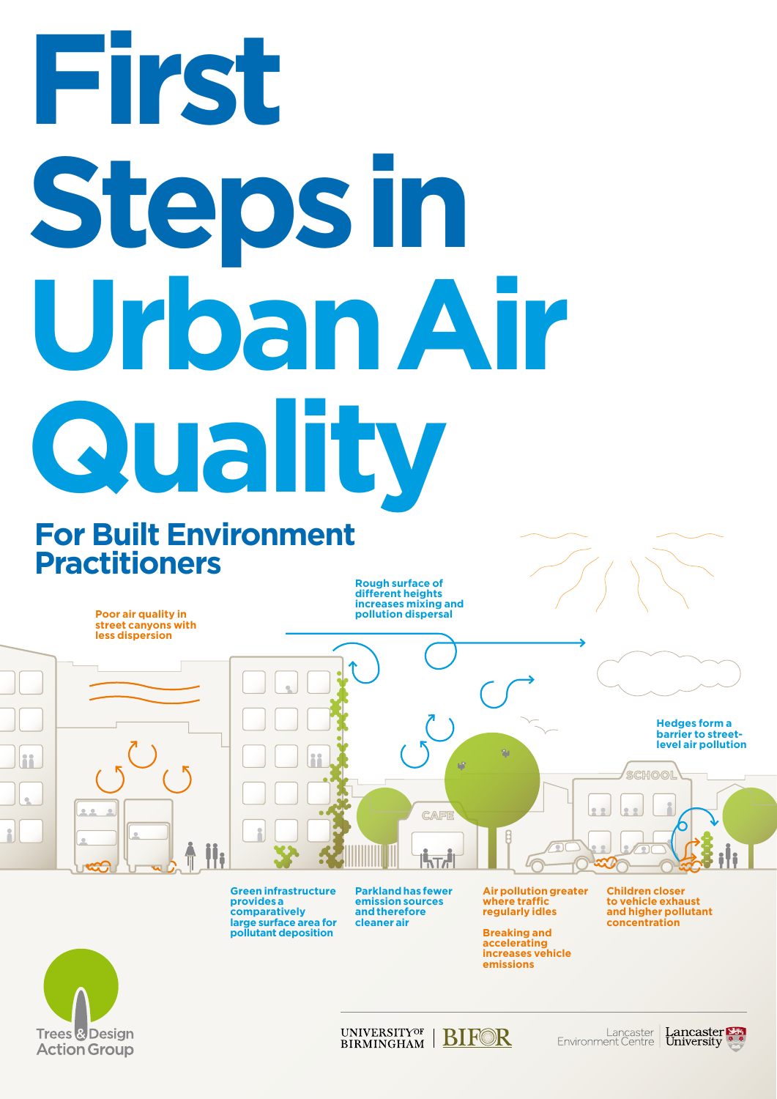# **First Steps in Urban Air Quality Master 2019 Diagram at 62.5% for cover For Built Environment Practitioners Rough surface of different heights increases mixing and Poor air quality in pollution dispersal street canyons with less dispersion Hedges form a barrier to streetlevel air pollutionSCHOOL** CAFE

**Green infrastructure provides a comparatively large surface area for pollutant deposition**

**Parkland has fewer emission sources and therefore cleaner air**

**Air pollution greater where traffic regularly idles**

**Breaking and accelerating increases vehicle emissions**

**Children closer to vehicle exhaust and higher pollutant concentration**





Lancaster<br>Environment Centre

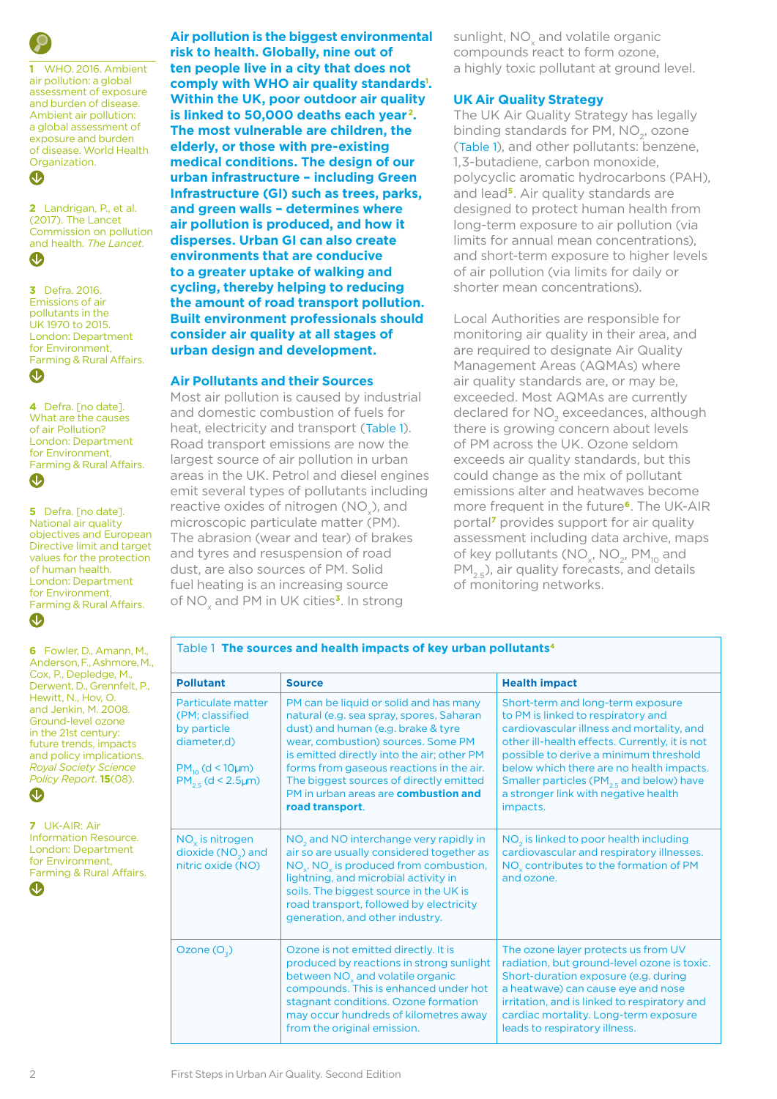**1** WHO. 2016. Ambient air pollution: a global assessment of exposure and burden of disease. Ambient air pollution: a global assessment of exposure and burden of disease. World Health Organization.  $\mathbf \Omega$ 

**2** Landrigan, P., et al. (2017). The Lancet Commission on pollution and health. *The Lancet*.  $\mathbf \Omega$ 

**3** Defra. 2016. Emissions of air pollutants in the UK 1970 to 2015. London: Department for Environment, [Farm](https://www.gov.uk/government/uploads/system/uploads/attachment_data/file/579200/Emissions_airpollutants_statisticalrelease_2016_final.pdf)ing & Rural Affairs.  $\bigcirc$ 

**4** Defra. [no date]. What are the causes of air Pollution? London: Department for Environment, Farming & Rural Affairs.  $\bigcirc$ 

**5** Defra. [no date]. National air quality objectives and European Directive limit and target values for the protection of human health. London: Department for Environment, Farming & Rural Affairs.  $\mathbf \Phi$ 

**6** Fowler, D., Amann, M., Anderson, F., Ashmore, M., Cox, P., Depledge, M., Derwent, D., Grennfelt, P., Hewitt, N., Hov, O. and Jenkin, M. 2008. Ground-level ozone in the 21st century: future trends, impacts and policy implications. *Royal Society Science [Poli](https://royalsociety.org/~/media/Royal_Society_Content/policy/publications/2008/7925.pdf)cy Report*. **15**(08).



**7** UK-AIR: Air Information Resource. London: Department for Environment, Farming & Rural Affairs.  $\mathbf \Phi$ 

**Air pollution is the biggest environmental risk to health. Globally, nine out of ten people live in a city that does not comply with WHO air quality standards1 . Within the UK, poor outdoor air quality is linked to 50,000 deaths each year<sup>2</sup>. The most vulnerable are children, the elderly, or those with pre-existing medical conditions. The design of our urban infrastructure – including Green Infrastructure (GI) such as trees, parks, and green walls – determines where air pollution is produced, and how it disperses. Urban GI can also create environments that are conducive to a greater uptake of walking and cycling, thereby helping to reducing the amount of road transport pollution. Built environment professionals should consider air quality at all stages of urban design and development.** 

#### **Air Pollutants and their Sources**

Most air pollution is caused by industrial and domestic combustion of fuels for heat, electricity and transport (Table 1). Road transport emissions are now the largest source of air pollution in urban areas in the UK. Petrol and diesel engines emit several types of pollutants including reactive oxides of nitrogen ( $NO<sub>x</sub>$ ), and microscopic particulate matter (PM). The abrasion (wear and tear) of brakes and tyres and resuspension of road dust, are also sources of PM. Solid fuel heating is an increasing source of NO<sub>x</sub> and PM in UK cities<sup>3</sup>. In strong

Table 1 **The sources and health impacts of key urban pollutants4**

sunlight,  $NO<sub>x</sub>$  and volatile organic compounds react to form ozone. a highly toxic pollutant at ground level.

### **UK Air Quality Strategy**

The UK Air Quality Strategy has legally binding standards for PM, NO<sub>2</sub>, ozone (Table 1), and other pollutants: benzene, 1,3-butadiene, carbon monoxide, polycyclic aromatic hydrocarbons (PAH), and lead**5**. Air quality standards are designed to protect human health from long-term exposure to air pollution (via limits for annual mean concentrations), and short-term exposure to higher levels of air pollution (via limits for daily or shorter mean concentrations).

Local Authorities are responsible for monitoring air quality in their area, and are required to designate Air Quality Management Areas (AQMAs) where air quality standards are, or may be, exceeded. Most AQMAs are currently declared for NO<sub>2</sub> exceedances, although there is growing concern about levels of PM across the UK. Ozone seldom exceeds air quality standards, but this could change as the mix of pollutant emissions alter and heatwaves become more frequent in the future**6**. The UK-AIR portal**7** provides support for air quality assessment including data archive, maps of key pollutants ( $NO<sub>x</sub>$ ,  $NO<sub>2</sub>$ ,  $PM<sub>10</sub>$  and  $PM_{2.5}$ ), air quality forecasts, and details of monitoring networks.

| <b>Pollutant</b>                                                                                                     | <b>Source</b>                                                                                                                                                                                                                                                                                                                                                  | <b>Health impact</b>                                                                                                                                                                                                                                                                                                                                                    |
|----------------------------------------------------------------------------------------------------------------------|----------------------------------------------------------------------------------------------------------------------------------------------------------------------------------------------------------------------------------------------------------------------------------------------------------------------------------------------------------------|-------------------------------------------------------------------------------------------------------------------------------------------------------------------------------------------------------------------------------------------------------------------------------------------------------------------------------------------------------------------------|
| Particulate matter<br>(PM; classified<br>by particle<br>diameter,d)<br>$PM_{10}$ (d < 10µm)<br>$PM_{25}$ (d < 2.5µm) | PM can be liquid or solid and has many<br>natural (e.g. sea spray, spores, Saharan<br>dust) and human (e.g. brake & tyre<br>wear, combustion) sources. Some PM<br>is emitted directly into the air; other PM<br>forms from gaseous reactions in the air.<br>The biggest sources of directly emitted<br>PM in urban areas are combustion and<br>road transport. | Short-term and long-term exposure<br>to PM is linked to respiratory and<br>cardiovascular illness and mortality, and<br>other ill-health effects. Currently, it is not<br>possible to derive a minimum threshold<br>below which there are no health impacts.<br>Smaller particles (PM <sub>25</sub> and below) have<br>a stronger link with negative health<br>impacts. |
| $NOx$ is nitrogen<br>dioxide (NO <sub>2</sub> ) and<br>nitric oxide (NO)                                             | NO <sub>2</sub> and NO interchange very rapidly in<br>air so are usually considered together as<br>NO <sub>v</sub> . NO <sub>v</sub> is produced from combustion,<br>lightning, and microbial activity in<br>soils. The biggest source in the UK is<br>road transport, followed by electricity<br>generation, and other industry.                              | NO <sub>2</sub> is linked to poor health including<br>cardiovascular and respiratory illnesses.<br>NO <sub>v</sub> contributes to the formation of PM<br>and ozone.                                                                                                                                                                                                     |
| Ozone $(O_3)$                                                                                                        | Ozone is not emitted directly. It is<br>produced by reactions in strong sunlight<br>between NO <sub>v</sub> and volatile organic<br>compounds. This is enhanced under hot<br>stagnant conditions. Ozone formation<br>may occur hundreds of kilometres away<br>from the original emission.                                                                      | The ozone layer protects us from UV<br>radiation, but ground-level ozone is toxic.<br>Short-duration exposure (e.g. during<br>a heatwave) can cause eye and nose<br>irritation, and is linked to respiratory and<br>cardiac mortality. Long-term exposure<br>leads to respiratory illness.                                                                              |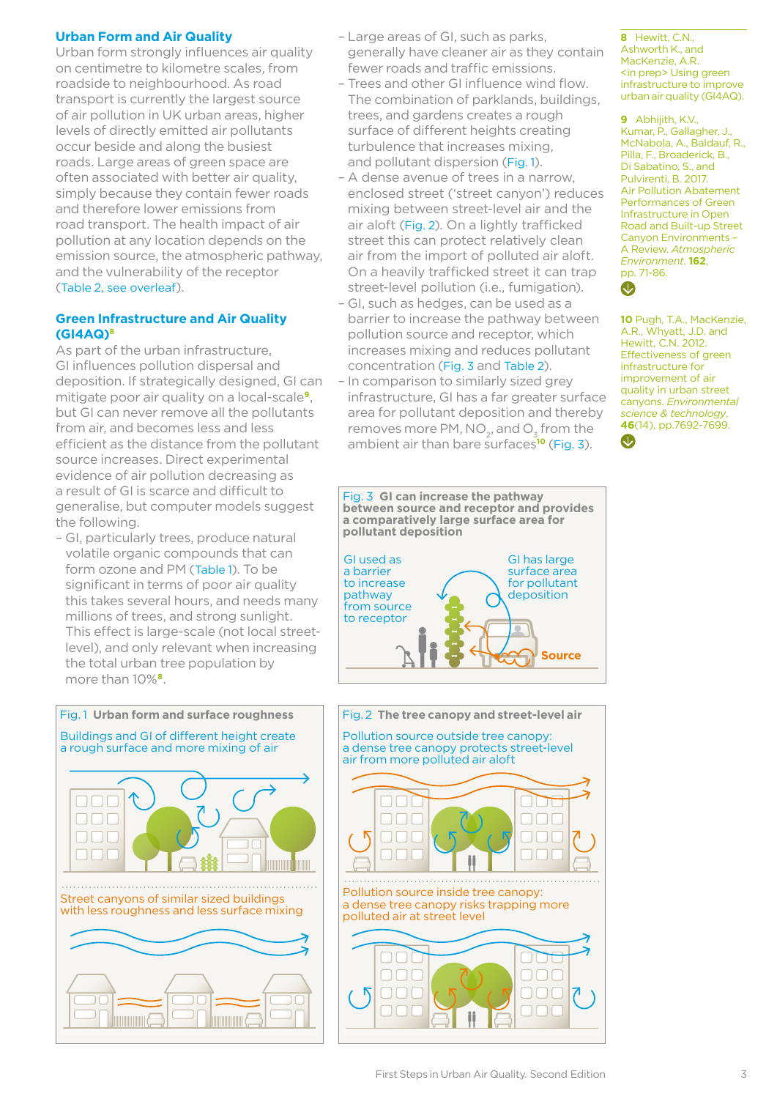# **Urban Form and Air Quality**

Urban form strongly influences air quality on centimetre to kilometre scales, from roadside to neighbourhood. As road transport is currently the largest source of air pollution in UK urban areas, higher levels of directly emitted air pollutants occur beside and along the busiest roads. Large areas of green space are often associated with better air quality, simply because they contain fewer roads and therefore lower emissions from road transport. The health impact of air pollution at any location depends on the emission source, the atmospheric pathway, and the vulnerability of the receptor (Table 2, see overleaf).

## **Green Infrastructure and Air Quality (GI4AQ)8**

As part of the urban infrastructure, GI influences pollution dispersal and deposition. If strategically designed, GI can mitigate poor air quality on a local-scale**9**, but GI can never remove all the pollutants from air, and becomes less and less efficient as the distance from the pollutant source increases. Direct experimental evidence of air pollution decreasing as a result of GI is scarce and difficult to generalise, but computer models suggest the following.

- GI, particularly trees, produce natural volatile organic compounds that can form ozone and PM (Table 1). To be significant in terms of poor air quality this takes several hours, and needs many millions of trees, and strong sunlight. This effect is large-scale (not local streetlevel), and only relevant when increasing the total urban tree population by more than 10%**8**.
- Fig. 1 **Urban form and surface roughness** Buildings and GI of different height create a rough surface and more mixing of air **NNN NNE NNE** Street canyons of similar sized buildings with less roughness and less surface mixing
- Large areas of GI, such as parks, generally have cleaner air as they contain fewer roads and traffic emissions.
- Trees and other GI influence wind flow. The combination of parklands, buildings, trees, and gardens creates a rough surface of different heights creating turbulence that increases mixing, and pollutant dispersion (Fig. 1).
- A dense avenue of trees in a narrow, enclosed street ('street canyon') reduces mixing between street-level air and the air aloft (Fig. 2). On a lightly trafficked street this can protect relatively clean air from the import of polluted air aloft. On a heavily trafficked street it can trap street-level pollution (i.e., fumigation).
- GI, such as hedges, can be used as a barrier to increase the pathway between pollution source and receptor, which increases mixing and reduces pollutant concentration (Fig. 3 and Table 2).
- In comparison to similarly sized grey infrastructure, GI has a far greater surface area for pollutant deposition and thereby removes more PM,  $NO<sub>2</sub>$ , and  $O<sub>3</sub>$  from the ambient air than bare surfaces**10** (Fig. 3).

**8** Hewitt, C.N., Ashworth K., and MacKenzie, A.R. <in prep> Using green infrastructure to improve urban air quality (GI4AQ).

**9** Abhijith, K.V., Kumar, P., Gallagher, J., McNabola, A., Baldauf, R., Pilla, F., Broaderick, B., Di Sabatino, S., and Pulvirenti, B. 2017. Air Pollution Abatement Performances of Green Infrastructure in Open Road and Built-up Street Canyon Environments – A Review. *Atmospheric Environment*. **162**, pp. 71-86.  $\bigcirc$ 

**10** Pugh, T.A., MacKenzie, A.R., Whyatt, J.D. and Hewitt, C.N. 2012. Effectiveness of green infrastructure for improvement of air quality in urban street canyons. *Environmental science & technology*, **[46](http://pubs.acs.org/doi/abs/10.1021/es300826w)**(14), pp.7692-7699.  $\bf{O}$